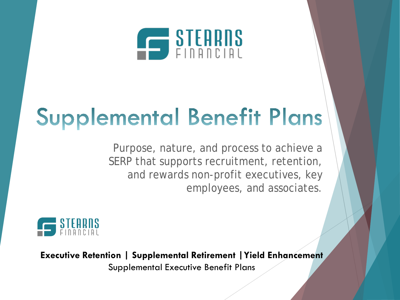

# **Supplemental Benefit Plans**

Purpose, nature, and process to achieve a SERP that supports recruitment, retention, and rewards non-profit executives, key employees, and associates.



**Executive Retention | Supplemental Retirement |Yield Enhancement** Supplemental Executive Benefit Plans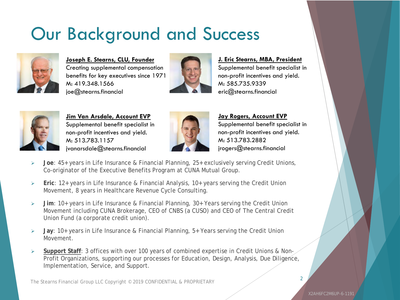## Our Background and Success



**Joseph E. Stearns, CLU, Founder** Creating supplemental compensation benefits for key executives since 1971 M: 419.348.1566 joe@stearns.financial



**J. Eric Stearns, MBA, President** Supplemental benefit specialist in non-profit incentives and yield. M: 585.735.9339 eric@stearns.financial



**Jim Van Arsdale, Account EVP** Supplemental benefit specialist in non-profit incentives and yield. M: 513.783.1157 jvanarsdale@stearns.financial



**Jay Rogers, Account EVP** Supplemental benefit specialist in non-profit incentives and yield. M: 513.783.2882 jrogers@stearns.financial

- **Joe**: 45+ years in Life Insurance & Financial Planning, 25+ exclusively serving Credit Unions, Co-originator of the Executive Benefits Program at CUNA Mutual Group.
- **Eric**: 12+ years in Life Insurance & Financial Analysis, 10+ years serving the Credit Union Movement, 8 years in Healthcare Revenue Cycle Consulting.
- **Jim**: 10+ years in Life Insurance & Financial Planning, 30+ Years serving the Credit Union Movement including CUNA Brokerage, CEO of CNBS (a CUSO) and CEO of The Central Credit Union Fund (a corporate credit union).
- **Jay**: 10+ years in Life Insurance & Financial Planning, 5+ Years serving the Credit Union Movement.
- **Support Staff**: 3 offices with over 100 years of combined expertise in Credit Unions & Non-Profit Organizations, supporting our processes for Education, Design, Analysis, Due Diligence, Implementation, Service, and Support.

The Stearns Financial Group LLC Copyright © 2019 CONFIDENTIAL & PROPRIETARY

X2AH6FC2M6UP-6-1191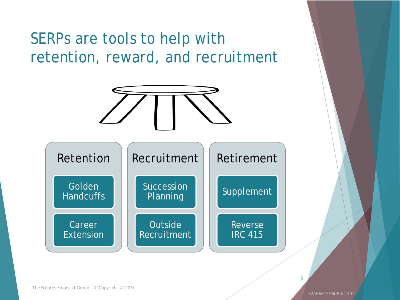### SERPs are tools to help with retention, reward, and recruitment

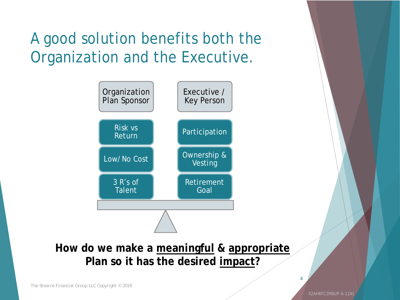### A good solution benefits both the Organization and the Executive.



#### **How do we make a meaningful & appropriate Plan so it has the desired impact?**

*The Stearns Financial Group LLC Copyright © 2019*

X2AH6FC2M6UP-6-1191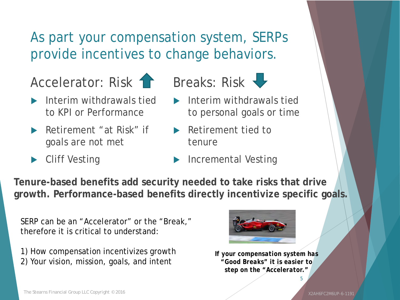#### As part your compensation system, SERPs provide incentives to change behaviors.

Accelerator: Risk 1 Breaks: Risk V

- 
- Interim withdrawals tied to KPI or Performance
- Retirement "at Risk" if goals are not met
- Cliff Vesting



- Interim withdrawals tied to personal goals or time
- Retirement tied to tenure
- Incremental Vesting

**Tenure-based benefits add security needed to take risks that drive growth. Performance-based benefits directly incentivize specific goals.** 

SERP can be an "Accelerator" or the "Break," therefore it is critical to understand:

1) How compensation incentivizes growth 2) Your vision, mission, goals, and intent



*If your compensation system has "Good Breaks" it is easier to step on the "Accelerator."*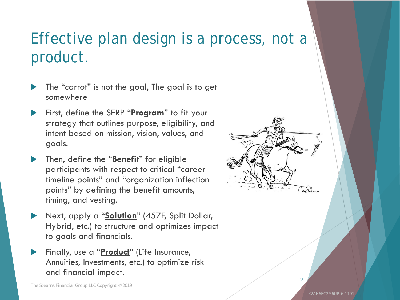### Effective plan design is a process, not a product.

- The "carrot" is not the goal, The goal is to get somewhere
- First, define the SERP "**Program**" to fit your strategy that outlines purpose, eligibility, and intent based on mission, vision, values, and goals.
- Then, define the "**Benefit**" for eligible participants with respect to critical "career timeline points" and "organization inflection points" by defining the benefit amounts, timing, and vesting.
- Next, apply a "**Solution**" (457F, Split Dollar, Hybrid, etc.) to structure and optimizes impact to goals and financials.
- Finally, use a "**Product**" (Life Insurance, Annuities, Investments, etc.) to optimize risk and financial impact.



X2AH6FC2M6UP-6-1191

6

*The Stearns Financial Group LLC Copyright © 2019*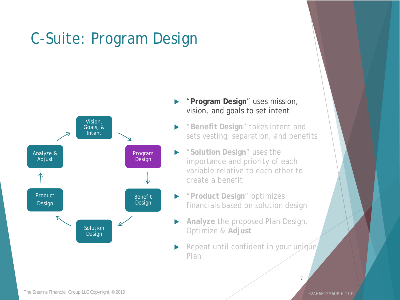## C-Suite: Program Design



#### "**Program Design**" uses mission, vision, and goals to set intent

- "**Benefit Design**" takes intent and sets vesting, separation, and benefits
- "**Solution Design**" uses the importance and priority of each variable relative to each other to create a benefit
- "**Product Design**" optimizes financials based on solution design
- **Analyze** the proposed Plan Design, Optimize & **Adjust**
- Repeat until confident in your unique Plan

X2AH6FC2M6UP-6-1191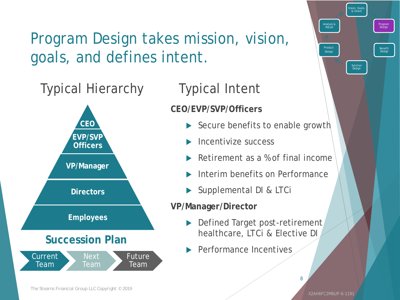## Program Design takes mission, vision, goals, and defines intent.

### Typical Hierarchy



### Typical Intent

#### **CEO/EVP/SVP/Officers**

- Secure benefits to enable growth
- Incentivize success
- Retirement as a % of final income
- Interim benefits on Performance
- Supplemental DI & LTCi

#### **VP/Manager/Director**

- Defined Target post-retirement healthcare, LTCi & Elective DI
- Performance Incentives

Vision, Goals, & Intent

Solution Design

Product Design

Analyze & Adjust

Program Design

Benefit Design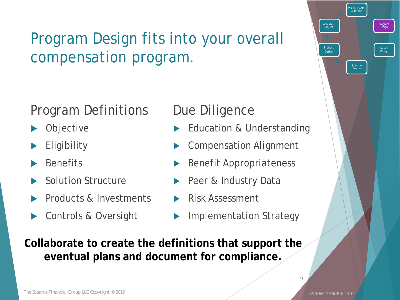### Program Design fits into your overall compensation program.

#### Program Definitions

- **Objective**
- **Eligibility**
- **Benefits**
- Solution Structure
- Products & Investments
- Controls & Oversight

#### Due Diligence

- Education & Understanding
- Compensation Alignment
- Benefit Appropriateness
- Peer & Industry Data
- Risk Assessment
- Implementation Strategy

**Collaborate to create the definitions that support the eventual plans and document for compliance.**

X2AH6FC2M6UP-6-1191

Vision, Goals, & Intent

Solution Design

Product Design

Analyze & Adjust

Program Design

Benefit Design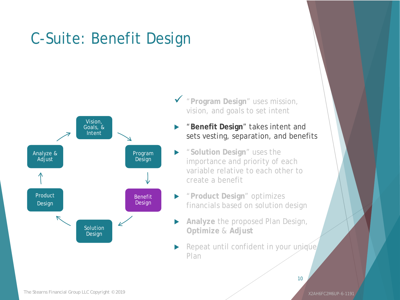## C-Suite: Benefit Design



- "**Program Design**" uses mission, vision, and goals to set intent
	- "**Benefit Design**" takes intent and sets vesting, separation, and benefits
- "**Solution Design**" uses the importance and priority of each variable relative to each other to create a benefit
- "**Product Design**" optimizes financials based on solution design
- **Analyze** the proposed Plan Design, **Optimize** & **Adjust**
- Repeat until confident in your unique Plan

X2AH6FC2M6UP-6-1191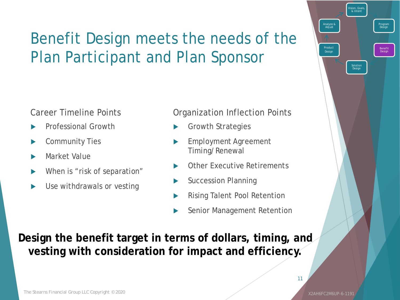### Benefit Design meets the needs of the Plan Participant and Plan Sponsor

#### Career Timeline Points

- Professional Growth
- Community Ties
- Market Value
- When is "risk of separation"
- Use withdrawals or vesting

#### Organization Inflection Points

- Growth Strategies
- Employment Agreement Timing/Renewal
- Other Executive Retirements
- Succession Planning
- Rising Talent Pool Retention
- Senior Management Retention

**Design the benefit target in terms of dollars, timing, and vesting with consideration for impact and efficiency.**

11

Vision, Goals, & Intent

Solution Design

Product Design

Analyze & Adjust

Program Design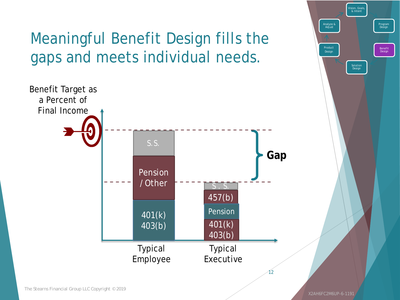Meaningful Benefit Design fills the gaps and meets individual needs.



Vision, Goals, & Intent Program Design Benefit Design Solution Design Product Design Analyze & Adjust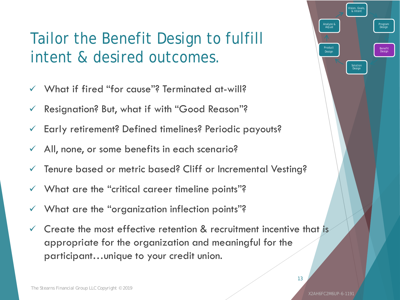### Tailor the Benefit Design to fulfill intent & desired outcomes.

- $\checkmark$  What if fired "for cause"? Terminated at-will?
- $\checkmark$  Resignation? But, what if with "Good Reason"?
- Early retirement? Defined timelines? Periodic payouts?
- $\checkmark$  All, none, or some benefits in each scenario?
- Tenure based or metric based? Cliff or Incremental Vesting?
- $\checkmark$  What are the "critical career timeline points"?
- $\checkmark$  What are the "organization inflection points"?
- $\checkmark$  Create the most effective retention & recruitment incentive that is appropriate for the organization and meaningful for the participant…unique to your credit union.

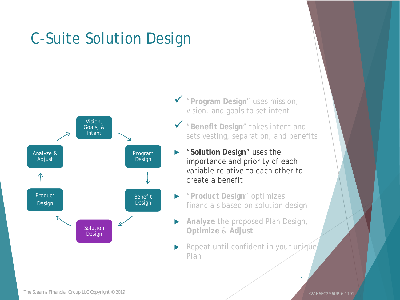## C-Suite Solution Design



- "**Program Design**" uses mission, vision, and goals to set intent
- "**Benefit Design**" takes intent and sets vesting, separation, and benefits
- "**Solution Design**" uses the importance and priority of each variable relative to each other to create a benefit
- "**Product Design**" optimizes financials based on solution design
- **Analyze** the proposed Plan Design, **Optimize** & **Adjust**
- Repeat until confident in your unique Plan

X2AH6FC2M6UP-6-1191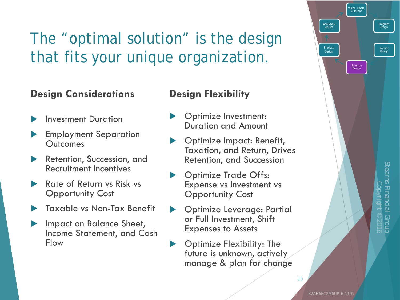## The "optimal solution" is the design that fits your unique organization.

#### **Design Considerations**

- Investment Duration
- Employment Separation **Outcomes**
- Retention, Succession, and Recruitment Incentives
- Rate of Return vs Risk vs Opportunity Cost
- Taxable vs Non-Tax Benefit
- Impact on Balance Sheet, Income Statement, and Cash Flow

#### **Design Flexibility**

- Optimize Investment: Duration and Amount
- Optimize Impact: Benefit, Taxation, and Return, Drives Retention, and Succession
- Optimize Trade Offs: Expense vs Investment vs Opportunity Cost
- Optimize Leverage: Partial or Full Investment, Shift Expenses to Assets
- Optimize Flexibility: The future is unknown, actively manage & plan for change



Product Design

Analyze & Adjust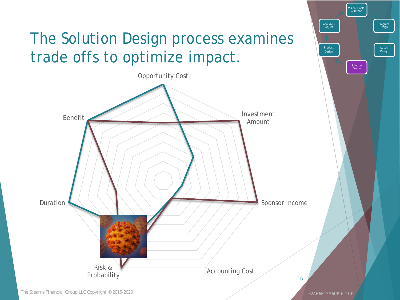## The Solution Design process examines trade offs to optimize impact.



X2AH6FC2M6UP-6-1191

Vision, Goals, & Intent

Product Design

Analyze & Adjust

Program Design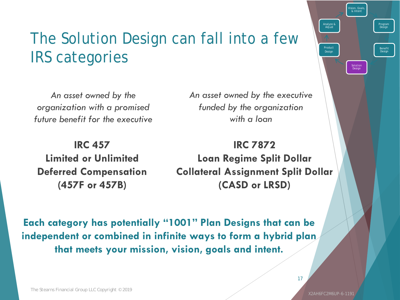### The Solution Design can fall into a few IRS categories

*An asset owned by the organization with a promised future benefit for the executive*

**IRC 457 Limited or Unlimited Deferred Compensation (457F or 457B)**

*An asset owned by the executive funded by the organization with a loan*

**IRC 7872 Loan Regime Split Dollar Collateral Assignment Split Dollar (CASD or LRSD)**

**Each category has potentially "1001" Plan Designs that can be independent or combined in infinite ways to form a hybrid plan that meets your mission, vision, goals and intent.**

17

Vision, Goals, & Intent

Solution Design

Product Design

Analyze & Adjust

Program Design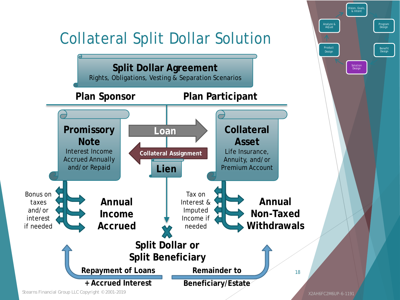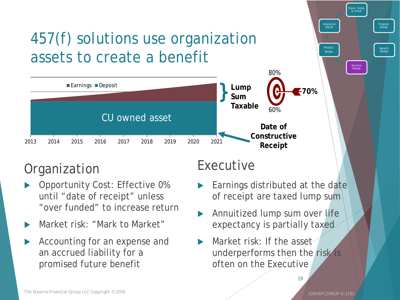## 457(f) solutions use organization assets to create a benefit



#### **Organization**

- Opportunity Cost: Effective 0% until "date of receipt" unless "over funded" to increase return
- Market risk: "Mark to Market"
- Accounting for an expense and an accrued liability for a promised future benefit

#### Executive

- Earnings distributed at the date of receipt are taxed lump sum
- Annuitized lump sum over life expectancy is partially taxed
- $\blacktriangleright$  Market risk: If the asset underperforms then the risk is often on the Executive

X2AH6FC2M6UP-6-1191

Vision, Goals, & Intent

Solution Design

Product Design

Analyze & Adjust

Program Design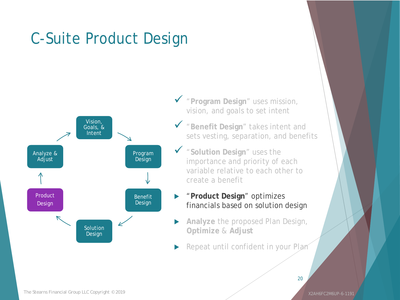### C-Suite Product Design



- "**Program Design**" uses mission, vision, and goals to set intent
- "**Benefit Design**" takes intent and sets vesting, separation, and benefits
- "**Solution Design**" uses the importance and priority of each variable relative to each other to create a benefit
- "**Product Design**" optimizes financials based on solution design
- **Analyze** the proposed Plan Design, **Optimize** & **Adjust**
- Repeat until confident in your Plan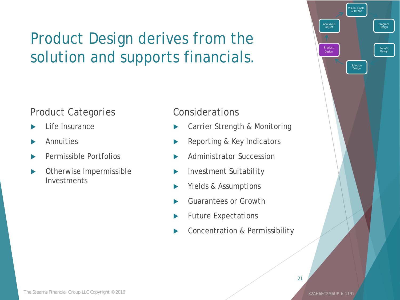### Product Design derives from the solution and supports financials.

#### Product Categories

- Life Insurance
- Annuities
- Permissible Portfolios
- Otherwise Impermissible Investments

#### Considerations

- Carrier Strength & Monitoring
- Reporting & Key Indicators
- Administrator Succession
- Investment Suitability
- Yields & Assumptions
- Guarantees or Growth
- Future Expectations
- Concentration & Permissibility

Vision, Goals, & Intent

Solution Design

Product Design

Analyze & Adjust

Program Design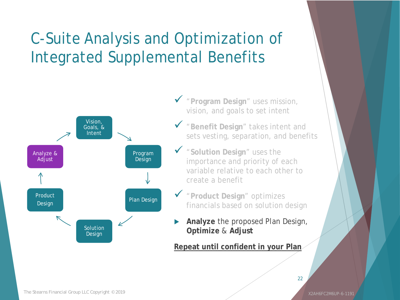### C-Suite Analysis and Optimization of Integrated Supplemental Benefits



- "**Program Design**" uses mission, vision, and goals to set intent
- "**Benefit Design**" takes intent and sets vesting, separation, and benefits
- "**Solution Design**" uses the importance and priority of each variable relative to each other to create a benefit
- "**Product Design**" optimizes financials based on solution design
- **Analyze** the proposed Plan Design, **Optimize** & **Adjust**

#### **Repeat until confident in your Plan**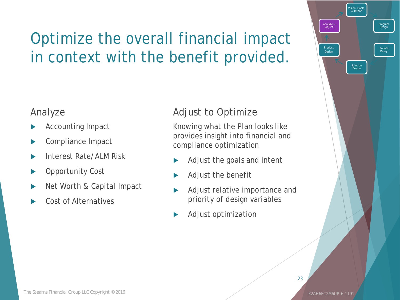## Optimize the overall financial impact in context with the benefit provided.

#### Analyze

- Accounting Impact
- Compliance Impact
- Interest Rate/ALM Risk
- Opportunity Cost
- Net Worth & Capital Impact
- Cost of Alternatives

#### Adjust to Optimize

Knowing what the Plan looks like provides insight into financial and compliance optimization

- Adjust the goals and intent
- Adjust the benefit
- Adjust relative importance and priority of design variables
- Adjust optimization

Vision, Goals, & Intent

Solution Design

Product Design

Analyze & Adjust

Program Design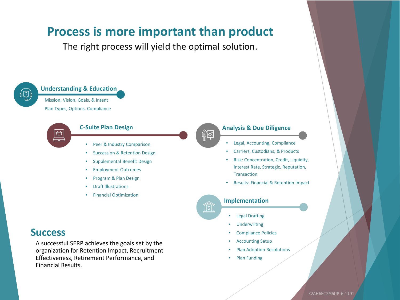#### **Process is more important than product**

The right process will yield the optimal solution.



**Understanding & Education** Mission, Vision, Goals, & Intent Plan Types, Options, Compliance



#### **C-Suite Plan Design**

- Peer & Industry Comparison
- Succession & Retention Design
- Supplemental Benefit Design
- Employment Outcomes
- Program & Plan Design
- Draft Illustrations
- Financial Optimization

#### **Success**

A successful SERP achieves the goals set by the organization for Retention Impact, Recruitment Effectiveness, Retirement Performance, and Financial Results.



#### **Analysis & Due Diligence**

- Legal, Accounting, Compliance
- Carriers, Custodians, & Products
- Risk: Concentration, Credit, Liquidity, Interest Rate, Strategic, Reputation, **Transaction**
- Results: Financial & Retention Impact



#### **Implementation**

- Legal Drafting
- **Underwriting**
- Compliance Policies
- **Accounting Setup**
- Plan Adoption Resolutions
- Plan Funding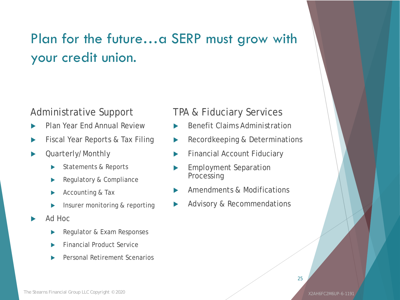### Plan for the future…a SERP must grow with your credit union.

#### Administrative Support

- Plan Year End Annual Review
- Fiscal Year Reports & Tax Filing
- Quarterly/Monthly
	- Statements & Reports
	- Regulatory & Compliance
	- Accounting & Tax
	- Insurer monitoring & reporting
- Ad Hoc
	- Regulator & Exam Responses
	- Financial Product Service
	- Personal Retirement Scenarios

#### TPA & Fiduciary Services

- Benefit Claims Administration
- Recordkeeping & Determinations
- Financial Account Fiduciary
- Employment Separation Processing
- Amendments & Modifications
- Advisory & Recommendations